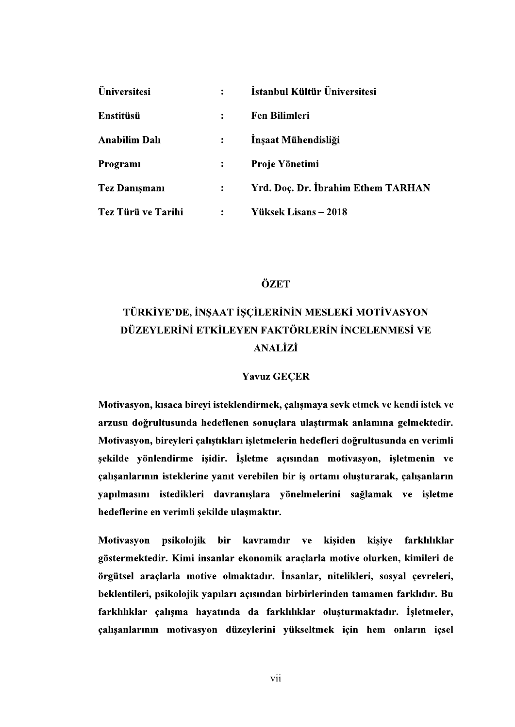| <b>Üniversitesi</b>  |                | İstanbul Kültür Üniversitesi       |
|----------------------|----------------|------------------------------------|
| <b>Enstitüsü</b>     |                | <b>Fen Bilimleri</b>               |
| <b>Anabilim Dalı</b> |                | Inşaat Mühendisliği                |
| Programi             |                | Proje Yönetimi                     |
| <b>Tez Danışmanı</b> |                | Yrd. Doç. Dr. İbrahim Ethem TARHAN |
| Tez Türü ve Tarihi   | $\ddot{\cdot}$ | Yüksek Lisans – 2018               |

## ÖZET

# TÜRKİYE'DE, İNSAAT İSCİLERİNİN MESLEKİ MOTİVASYON DÜZEYLERİNİ ETKİLEYEN FAKTÖRLERİN İNCELENMESİ VE **ANALİZİ**

#### **Yavuz GECER**

Motivasyon, kısaca bireyi isteklendirmek, çalışmaya sevk etmek ve kendi istek ve arzusu doğrultusunda hedeflenen sonuçlara ulaştırmak anlamına gelmektedir. Motivasyon, bireyleri çalıştıkları işletmelerin hedefleri doğrultusunda en verimli sekilde vönlendirme isidir. Isletme acısından motivasyon, isletmenin ve çalışanlarının isteklerine yanıt verebilen bir iş ortamı oluşturarak, çalışanların yapılmasını istedikleri davranışlara yönelmelerini sağlamak ve işletme hedeflerine en verimli şekilde ulaşmaktır.

Motivasyon psikolojik bir kavramdır ve kişiden kişiye farklılıklar göstermektedir. Kimi insanlar ekonomik araçlarla motive olurken, kimileri de örgütsel araçlarla motive olmaktadır. İnsanlar, nitelikleri, sosyal çevreleri, beklentileri, psikolojik yapıları açısından birbirlerinden tamamen farklıdır. Bu farklılıklar çalışma hayatında da farklılıklar oluşturmaktadır. İşletmeler, çalışanlarının motivasyon düzeylerini yükseltmek için hem onların içsel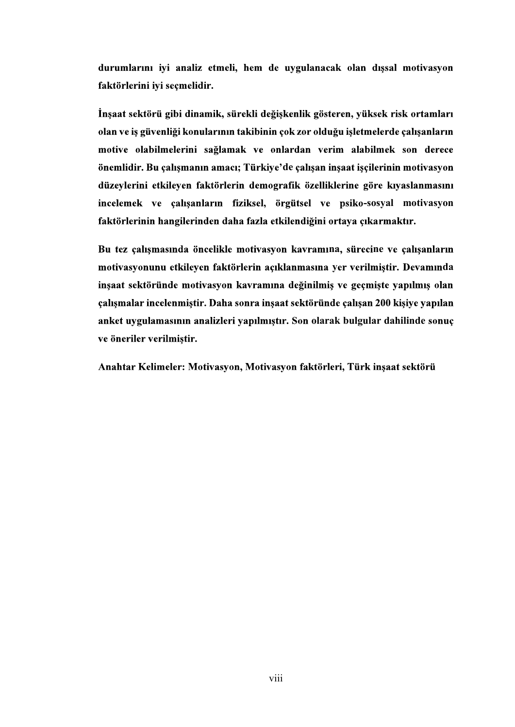durumlarını iyi analiz etmeli, hem de uygulanacak olan dışsal motivasyon faktörlerini iyi seçmelidir.

İnsaat sektörü gibi dinamik, sürekli değişkenlik gösteren, yüksek risk ortamları olan ve iş güvenliği konularının takibinin çok zor olduğu işletmelerde çalışanların motive olabilmelerini sağlamak ve onlardan verim alabilmek son derece önemlidir. Bu çalışmanın amacı; Türkiye'de çalışan inşaat işçilerinin motivasyon düzevlerini etkileven faktörlerin demografik özelliklerine göre kıvaslanmasını incelemek ve calısanların fiziksel, örgütsel ve psiko-sosyal motivasyon faktörlerinin hangilerinden daha fazla etkilendiğini ortaya çıkarmaktır.

Bu tez çalışmasında öncelikle motivasyon kavramına, sürecine ve çalışanların motivasyonunu etkileyen faktörlerin açıklanmasına yer verilmiştir. Devamında inşaat sektöründe motivasyon kavramına değinilmiş ve geçmişte yapılmış olan calismalar incelenmistir. Daha sonra insaat sektöründe calisan 200 kisive vapılan anket uygulamasının analizleri yapılmıştır. Son olarak bulgular dahilinde sonuç ve öneriler verilmiştir.

Anahtar Kelimeler: Motivasyon, Motivasyon faktörleri, Türk insaat sektörü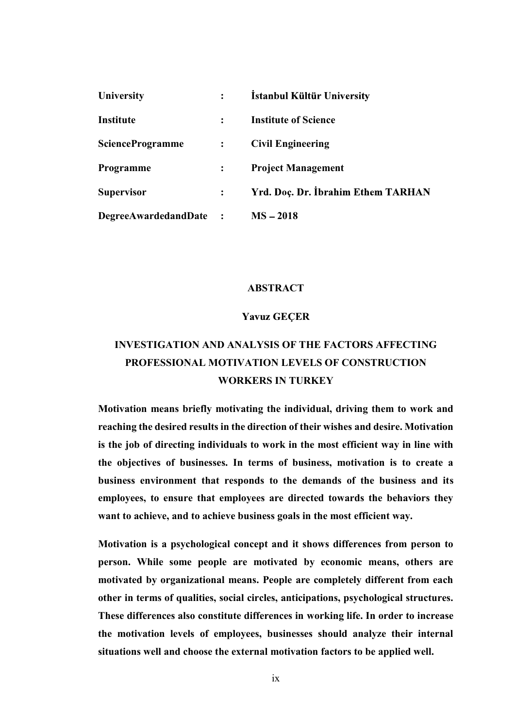| <b>University</b>           | $\ddot{\cdot}$       | İstanbul Kültür University         |
|-----------------------------|----------------------|------------------------------------|
| <b>Institute</b>            |                      | <b>Institute of Science</b>        |
| <b>ScienceProgramme</b>     | $\ddot{\cdot}$       | <b>Civil Engineering</b>           |
| <b>Programme</b>            |                      | <b>Project Management</b>          |
| <b>Supervisor</b>           |                      | Yrd. Doç. Dr. İbrahim Ethem TARHAN |
| <b>DegreeAwardedandDate</b> | $\ddot{\phantom{1}}$ | $MS - 2018$                        |

#### ABSTRACT

### **Yavuz GECER**

## INVESTIGATION AND ANALYSIS OF THE FACTORS AFFECTING PROFESSIONAL MOTIVATION LEVELS OF CONSTRUCTION WORKERS IN TURKEY

Motivation means briefly motivating the individual, driving them to work and reaching the desired results in the direction of their wishes and desire. Motivation is the job of directing individuals to work in the most efficient way in line with the objectives of businesses. In terms of business, motivation is to create a business environment that responds to the demands of the business and its employees, to ensure that employees are directed towards the behaviors they want to achieve, and to achieve business goals in the most efficient way.

Motivation is a psychological concept and it shows differences from person to person. While some people are motivated by economic means, others are motivated by organizational means. People are completely different from each other in terms of qualities, social circles, anticipations, psychological structures. These differences also constitute differences in working life. In order to increase the motivation levels of employees, businesses should analyze their internal situations well and choose the external motivation factors to be applied well.